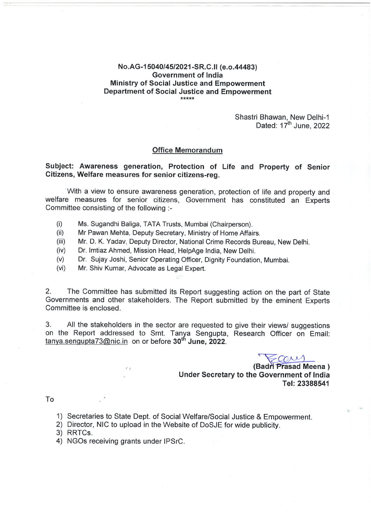### No.AG-15040/45/2021-SR.C.II (e.o.44483) **Government of India** Ministry of Social Justice and Empowerment **Department of Social Justice and Empowerment** \*\*\*\*\*

Shastri Bhawan, New Delhi-1 Dated: 17<sup>th</sup> June, 2022

#### **Office Memorandum**

### Subject: Awareness generation, Protection of Life and Property of Senior Citizens, Welfare measures for senior citizens-reg.

With a view to ensure awareness generation, protection of life and property and welfare measures for senior citizens, Government has constituted an Experts Committee consisting of the following :-

- $(i)$ Ms. Sugandhi Baliga, TATA Trusts, Mumbai (Chairperson).
- Mr Pawan Mehta, Deputy Secretary, Ministry of Home Affairs.  $(ii)$
- $(iii)$ Mr. D. K. Yadav, Deputy Director, National Crime Records Bureau, New Delhi.
- $(iv)$ Dr. Imtiaz Ahmed, Mission Head, HelpAge India, New Delhi.
- $(v)$ Dr. Sujay Joshi, Senior Operating Officer, Dignity Foundation, Mumbai.
- $(vi)$ Mr. Shiv Kumar, Advocate as Legal Expert.

2. The Committee has submitted its Report suggesting action on the part of State Governments and other stakeholders. The Report submitted by the eminent Experts Committee is enclosed.

 $3<sub>1</sub>$ All the stakeholders in the sector are requested to give their views/ suggestions on the Report addressed to Smt. Tanya Sengupta, Research Officer on Email: tanya.sengupta73@nic.in on or before 30<sup>th</sup> June, 2022.

cover

(Badri Prasad Meena) Under Secretary to the Government of India Tel: 23388541

To

- 1) Secretaries to State Dept. of Social Welfare/Social Justice & Empowerment.
- 2) Director, NIC to upload in the Website of DoSJE for wide publicity.
- 3) RRTCs.
- 4) NGOs receiving grants under IPSrC.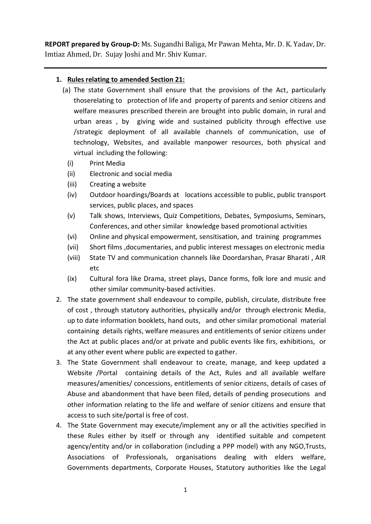**REPORT prepared by Group-D:** Ms. Sugandhi Baliga, Mr Pawan Mehta, Mr. D. K. Yadav, Dr. Imtiaz Ahmed, Dr. Sujay Joshi and Mr. Shiv Kumar.

# **1. Rules relating to amended Section 21:**

- (a) The state Government shall ensure that the provisions of the Act, particularly thoserelating to protection of life and property of parents and senior citizens and welfare measures prescribed therein are brought into public domain, in rural and urban areas , by giving wide and sustained publicity through effective use /strategic deployment of all available channels of communication, use of technology, Websites, and available manpower resources, both physical and virtual including the following:
	- (i) Print Media
	- (ii) Electronic and social media
	- (iii) Creating a website
	- (iv) Outdoor hoardings/Boards at locations accessible to public, public transport services, public places, and spaces
	- (v) Talk shows, Interviews, Quiz Competitions, Debates, Symposiums, Seminars, Conferences, and other similar knowledge based promotional activities
	- (vi) Online and physical empowerment, sensitisation, and training programmes
	- (vii) Short films ,documentaries, and public interest messages on electronic media
	- (viii) State TV and communication channels like Doordarshan, Prasar Bharati , AIR etc
	- (ix) Cultural fora like Drama, street plays, Dance forms, folk lore and music and other similar community-based activities.
- 2. The state government shall endeavour to compile, publish, circulate, distribute free of cost , through statutory authorities, physically and/or through electronic Media, up to date information booklets, hand outs, and other similar promotional material containing details rights, welfare measures and entitlements of senior citizens under the Act at public places and/or at private and public events like firs, exhibitions, or at any other event where public are expected to gather.
- 3. The State Government shall endeavour to create, manage, and keep updated a Website /Portal containing details of the Act, Rules and all available welfare measures/amenities/ concessions, entitlements of senior citizens, details of cases of Abuse and abandonment that have been filed, details of pending prosecutions and other information relating to the life and welfare of senior citizens and ensure that access to such site/portal is free of cost.
- 4. The State Government may execute/implement any or all the activities specified in these Rules either by itself or through any identified suitable and competent agency/entity and/or in collaboration (including a PPP model) with any NGO,Trusts, Associations of Professionals, organisations dealing with elders welfare, Governments departments, Corporate Houses, Statutory authorities like the Legal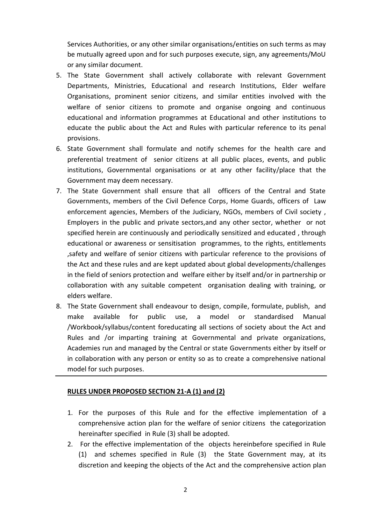Services Authorities, or any other similar organisations/entities on such terms as may be mutually agreed upon and for such purposes execute, sign, any agreements/MoU or any similar document.

- 5. The State Government shall actively collaborate with relevant Government Departments, Ministries, Educational and research Institutions, Elder welfare Organisations, prominent senior citizens, and similar entities involved with the welfare of senior citizens to promote and organise ongoing and continuous educational and information programmes at Educational and other institutions to educate the public about the Act and Rules with particular reference to its penal provisions.
- 6. State Government shall formulate and notify schemes for the health care and preferential treatment of senior citizens at all public places, events, and public institutions, Governmental organisations or at any other facility/place that the Government may deem necessary.
- 7. The State Government shall ensure that all officers of the Central and State Governments, members of the Civil Defence Corps, Home Guards, officers of Law enforcement agencies, Members of the Judiciary, NGOs, members of Civil society , Employers in the public and private sectors,and any other sector, whether or not specified herein are continuously and periodically sensitized and educated , through educational or awareness or sensitisation programmes, to the rights, entitlements ,safety and welfare of senior citizens with particular reference to the provisions of the Act and these rules and are kept updated about global developments/challenges in the field of seniors protection and welfare either by itself and/or in partnership or collaboration with any suitable competent organisation dealing with training, or elders welfare.
- 8. The State Government shall endeavour to design, compile, formulate, publish, and make available for public use, a model or standardised Manual /Workbook/syllabus/content foreducating all sections of society about the Act and Rules and /or imparting training at Governmental and private organizations, Academies run and managed by the Central or state Governments either by itself or in collaboration with any person or entity so as to create a comprehensive national model for such purposes.

## **RULES UNDER PROPOSED SECTION 21-A (1) and (2)**

- 1. For the purposes of this Rule and for the effective implementation of a comprehensive action plan for the welfare of senior citizens the categorization hereinafter specified in Rule (3) shall be adopted.
- 2. For the effective implementation of the objects hereinbefore specified in Rule (1) and schemes specified in Rule (3) the State Government may, at its discretion and keeping the objects of the Act and the comprehensive action plan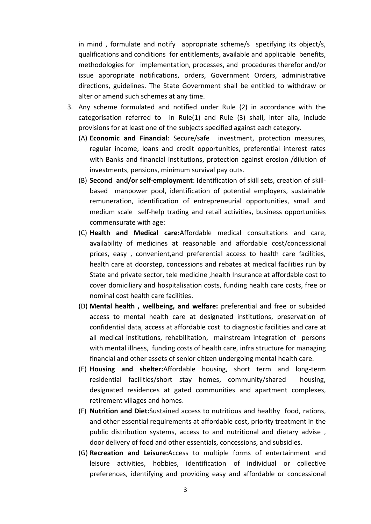in mind , formulate and notify appropriate scheme/s specifying its object/s, qualifications and conditions for entitlements, available and applicable benefits, methodologies for implementation, processes, and procedures therefor and/or issue appropriate notifications, orders, Government Orders, administrative directions, guidelines. The State Government shall be entitled to withdraw or alter or amend such schemes at any time.

- 3. Any scheme formulated and notified under Rule (2) in accordance with the categorisation referred to in Rule(1) and Rule (3) shall, inter alia, include provisions for at least one of the subjects specified against each category.
	- (A) **Economic and Financial**: Secure/safe investment, protection measures, regular income, loans and credit opportunities, preferential interest rates with Banks and financial institutions, protection against erosion /dilution of investments, pensions, minimum survival pay outs.
	- (B) **Second and/or self-employment**: Identification of skill sets, creation of skillbased manpower pool, identification of potential employers, sustainable remuneration, identification of entrepreneurial opportunities, small and medium scale self-help trading and retail activities, business opportunities commensurate with age:
	- (C) **Health and Medical care:**Affordable medical consultations and care, availability of medicines at reasonable and affordable cost/concessional prices, easy , convenient,and preferential access to health care facilities, health care at doorstep, concessions and rebates at medical facilities run by State and private sector, tele medicine ,health Insurance at affordable cost to cover domiciliary and hospitalisation costs, funding health care costs, free or nominal cost health care facilities.
	- (D) **Mental health , wellbeing, and welfare:** preferential and free or subsided access to mental health care at designated institutions, preservation of confidential data, access at affordable cost to diagnostic facilities and care at all medical institutions, rehabilitation, mainstream integration of persons with mental illness, funding costs of health care, infra structure for managing financial and other assets of senior citizen undergoing mental health care.
	- (E) **Housing and shelter:**Affordable housing, short term and long-term residential facilities/short stay homes, community/shared housing, designated residences at gated communities and apartment complexes, retirement villages and homes.
	- (F) **Nutrition and Diet:**Sustained access to nutritious and healthy food, rations, and other essential requirements at affordable cost, priority treatment in the public distribution systems, access to and nutritional and dietary advise , door delivery of food and other essentials, concessions, and subsidies.
	- (G) **Recreation and Leisure:**Access to multiple forms of entertainment and leisure activities, hobbies, identification of individual or collective preferences, identifying and providing easy and affordable or concessional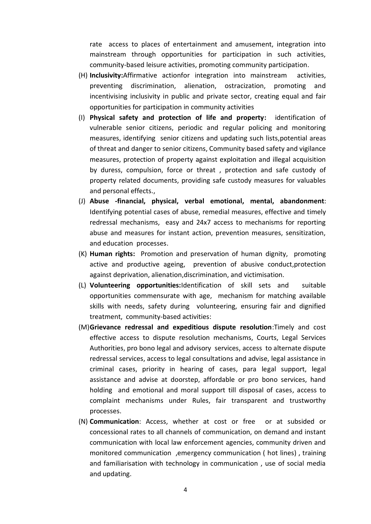rate access to places of entertainment and amusement, integration into mainstream through opportunities for participation in such activities, community-based leisure activities, promoting community participation.

- (H) **Inclusivity:**Affirmative actionfor integration into mainstream activities, preventing discrimination, alienation, ostracization, promoting and incentivising inclusivity in public and private sector, creating equal and fair opportunities for participation in community activities
- (I) **Physical safety and protection of life and property:** identification of vulnerable senior citizens, periodic and regular policing and monitoring measures, identifying senior citizens and updating such lists,potential areas of threat and danger to senior citizens, Community based safety and vigilance measures, protection of property against exploitation and illegal acquisition by duress, compulsion, force or threat , protection and safe custody of property related documents, providing safe custody measures for valuables and personal effects.,
- (J) **Abuse -financial, physical, verbal emotional, mental, abandonment**: Identifying potential cases of abuse, remedial measures, effective and timely redressal mechanisms, easy and 24x7 access to mechanisms for reporting abuse and measures for instant action, prevention measures, sensitization, and education processes.
- (K) **Human rights:** Promotion and preservation of human dignity, promoting active and productive ageing, prevention of abusive conduct,protection against deprivation, alienation,discrimination, and victimisation.
- (L) **Volunteering opportunities:**Identification of skill sets and suitable opportunities commensurate with age, mechanism for matching available skills with needs, safety during volunteering, ensuring fair and dignified treatment, community-based activities:
- (M)**Grievance redressal and expeditious dispute resolution**:Timely and cost effective access to dispute resolution mechanisms, Courts, Legal Services Authorities, pro bono legal and advisory services, access to alternate dispute redressal services, access to legal consultations and advise, legal assistance in criminal cases, priority in hearing of cases, para legal support, legal assistance and advise at doorstep, affordable or pro bono services, hand holding and emotional and moral support till disposal of cases, access to complaint mechanisms under Rules, fair transparent and trustworthy processes.
- (N) **Communication**: Access, whether at cost or free or at subsided or concessional rates to all channels of communication, on demand and instant communication with local law enforcement agencies, community driven and monitored communication ,emergency communication ( hot lines) , training and familiarisation with technology in communication , use of social media and updating.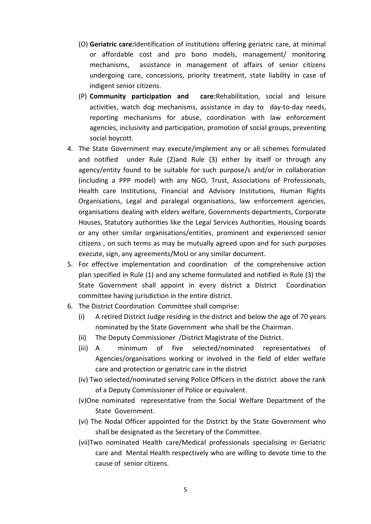- (O) **Geriatric care:**Identification of institutions offering geriatric care, at minimal or affordable cost and pro bono models, management/ monitoring mechanisms, assistance in management of affairs of senior citizens undergoing care, concessions, priority treatment, state liability in case of indigent senior citizens.
- (P) **Community participation and care:**Rehabilitation, social and leisure activities, watch dog mechanisms, assistance in day to day-to-day needs, reporting mechanisms for abuse, coordination with law enforcement agencies, inclusivity and participation, promotion of social groups, preventing social boycott.
- 4. The State Government may execute/implement any or all schemes formulated and notified under Rule (2)and Rule (3) either by itself or through any agency/entity found to be suitable for such purpose/s and/or in collaboration (including a PPP model) with any NGO, Trust, Associations of Professionals, Health care Institutions, Financial and Advisory Institutions, Human Rights Organisations, Legal and paralegal organisations, law enforcement agencies, organisations dealing with elders welfare, Governments departments, Corporate Houses, Statutory authorities like the Legal Services Authorities, Housing boards or any other similar organisations/entities, prominent and experienced senior citizens , on such terms as may be mutually agreed upon and for such purposes execute, sign, any agreements/MoU or any similar document.
- 5. For effective implementation and coordination of the comprehensive action plan specified in Rule (1) and any scheme formulated and notified in Rule (3) the State Government shall appoint in every district a District Coordination committee having jurisdiction in the entire district.
- 6. The District Coordination Committee shall comprise:
	- (i) A retired District Judge residing in the district and below the age of 70 years nominated by the State Government who shall be the Chairman.
	- (ii) The Deputy Commissioner /District Magistrate of the District.
	- (iii) A minimum of five selected/nominated representatives of Agencies/organisations working or involved in the field of elder welfare care and protection or geriatric care in the district
	- (iv) Two selected/nominated serving Police Officers in the district above the rank of a Deputy Commissioner of Police or equivalent.
	- (v)One nominated representative from the Social Welfare Department of the State Government.
	- (vi) The Nodal Officer appointed for the District by the State Government who shall be designated as the Secretary of the Committee.
	- (vii)Two nominated Health care/Medical professionals specialising in Geriatric care and Mental Health respectively who are willing to devote time to the cause of senior citizens.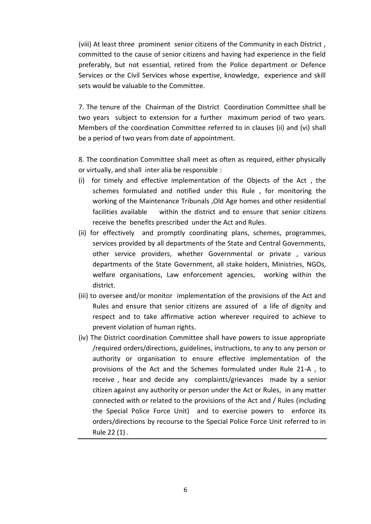(viii) At least three prominent senior citizens of the Community in each District , committed to the cause of senior citizens and having had experience in the field preferably, but not essential, retired from the Police department or Defence Services or the Civil Services whose expertise, knowledge, experience and skill sets would be valuable to the Committee.

7. The tenure of the Chairman of the District Coordination Committee shall be two years subject to extension for a further maximum period of two years. Members of the coordination Committee referred to in clauses (ii) and (vi) shall be a period of two years from date of appointment.

8. The coordination Committee shall meet as often as required, either physically or virtually, and shall inter alia be responsible :

- (i) for timely and effective implementation of the Objects of the Act , the schemes formulated and notified under this Rule , for monitoring the working of the Maintenance Tribunals ,Old Age homes and other residential facilities available within the district and to ensure that senior citizens receive the benefits prescribed under the Act and Rules.
- (ii) for effectively and promptly coordinating plans, schemes, programmes, services provided by all departments of the State and Central Governments, other service providers, whether Governmental or private , various departments of the State Government, all stake holders, Ministries, NGOs, welfare organisations, Law enforcement agencies, working within the district.
- (iii) to oversee and/or monitor implementation of the provisions of the Act and Rules and ensure that senior citizens are assured of a life of dignity and respect and to take affirmative action wherever required to achieve to prevent violation of human rights.
- (iv) The District coordination Committee shall have powers to issue appropriate /required orders/directions, guidelines, instructions, to any to any person or authority or organisation to ensure effective implementation of the provisions of the Act and the Schemes formulated under Rule 21-A , to receive , hear and decide any complaints/grievances made by a senior citizen against any authority or person under the Act or Rules, in any matter connected with or related to the provisions of the Act and / Rules (including the Special Police Force Unit) and to exercise powers to enforce its orders/directions by recourse to the Special Police Force Unit referred to in Rule 22 (1) .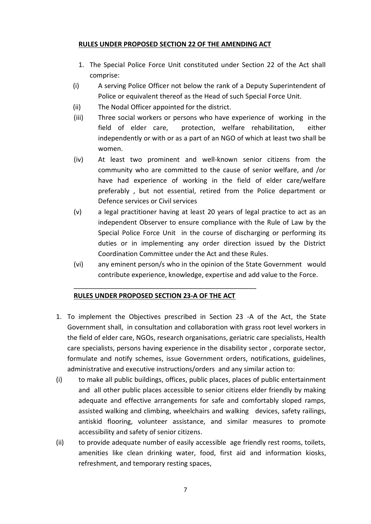## **RULES UNDER PROPOSED SECTION 22 OF THE AMENDING ACT**

- 1. The Special Police Force Unit constituted under Section 22 of the Act shall comprise:
- (i) A serving Police Officer not below the rank of a Deputy Superintendent of Police or equivalent thereof as the Head of such Special Force Unit.
- (ii) The Nodal Officer appointed for the district.
- (iii) Three social workers or persons who have experience of working in the field of elder care, protection, welfare rehabilitation, either independently or with or as a part of an NGO of which at least two shall be women.
- (iv) At least two prominent and well-known senior citizens from the community who are committed to the cause of senior welfare, and /or have had experience of working in the field of elder care/welfare preferably , but not essential, retired from the Police department or Defence services or Civil services
- (v) a legal practitioner having at least 20 years of legal practice to act as an independent Observer to ensure compliance with the Rule of Law by the Special Police Force Unit in the course of discharging or performing its duties or in implementing any order direction issued by the District Coordination Committee under the Act and these Rules.
- (vi) any eminent person/s who in the opinion of the State Government would contribute experience, knowledge, expertise and add value to the Force.

# **RULES UNDER PROPOSED SECTION 23-A OF THE ACT**

\_\_\_\_\_\_\_\_\_\_\_\_\_\_\_\_\_\_\_\_\_\_\_\_\_\_\_\_\_\_\_\_\_\_\_\_\_\_\_\_\_\_\_\_\_\_\_\_\_

- 1. To implement the Objectives prescribed in Section 23 -A of the Act, the State Government shall, in consultation and collaboration with grass root level workers in the field of elder care, NGOs, research organisations, geriatric care specialists, Health care specialists, persons having experience in the disability sector , corporate sector, formulate and notify schemes, issue Government orders, notifications, guidelines, administrative and executive instructions/orders and any similar action to:
- (i) to make all public buildings, offices, public places, places of public entertainment and all other public places accessible to senior citizens elder friendly by making adequate and effective arrangements for safe and comfortably sloped ramps, assisted walking and climbing, wheelchairs and walking devices, safety railings, antiskid flooring, volunteer assistance, and similar measures to promote accessibility and safety of senior citizens.
- (ii) to provide adequate number of easily accessible age friendly rest rooms, toilets, amenities like clean drinking water, food, first aid and information kiosks, refreshment, and temporary resting spaces,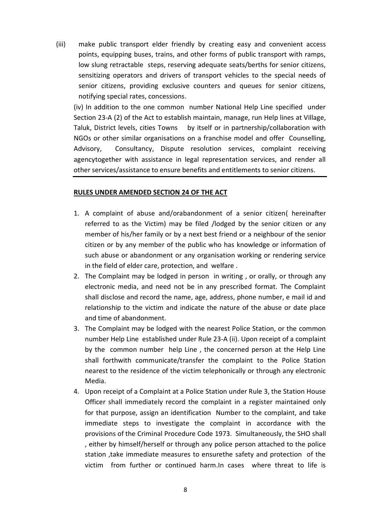(iii) make public transport elder friendly by creating easy and convenient access points, equipping buses, trains, and other forms of public transport with ramps, low slung retractable steps, reserving adequate seats/berths for senior citizens, sensitizing operators and drivers of transport vehicles to the special needs of senior citizens, providing exclusive counters and queues for senior citizens, notifying special rates, concessions.

(iv) In addition to the one common number National Help Line specified under Section 23-A (2) of the Act to establish maintain, manage, run Help lines at Village, Taluk, District levels, cities Towns by itself or in partnership/collaboration with NGOs or other similar organisations on a franchise model and offer Counselling, Advisory, Consultancy, Dispute resolution services, complaint receiving agencytogether with assistance in legal representation services, and render all other services/assistance to ensure benefits and entitlements to senior citizens.

## **RULES UNDER AMENDED SECTION 24 OF THE ACT**

- 1. A complaint of abuse and/orabandonment of a senior citizen( hereinafter referred to as the Victim) may be filed /lodged by the senior citizen or any member of his/her family or by a next best friend or a neighbour of the senior citizen or by any member of the public who has knowledge or information of such abuse or abandonment or any organisation working or rendering service in the field of elder care, protection, and welfare .
- 2. The Complaint may be lodged in person in writing , or orally, or through any electronic media, and need not be in any prescribed format. The Complaint shall disclose and record the name, age, address, phone number, e mail id and relationship to the victim and indicate the nature of the abuse or date place and time of abandonment.
- 3. The Complaint may be lodged with the nearest Police Station, or the common number Help Line established under Rule 23-A (ii). Upon receipt of a complaint by the common number help Line , the concerned person at the Help Line shall forthwith communicate/transfer the complaint to the Police Station nearest to the residence of the victim telephonically or through any electronic Media.
- 4. Upon receipt of a Complaint at a Police Station under Rule 3, the Station House Officer shall immediately record the complaint in a register maintained only for that purpose, assign an identification Number to the complaint, and take immediate steps to investigate the complaint in accordance with the provisions of the Criminal Procedure Code 1973. Simultaneously, the SHO shall , either by himself/herself or through any police person attached to the police station ,take immediate measures to ensurethe safety and protection of the victim from further or continued harm.In cases where threat to life is